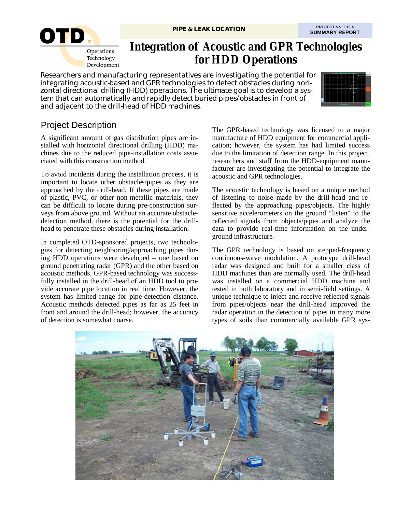

# **Integration of Acoustic and GPR Technologies for HDD Operations**

Researchers and manufacturing representatives are investigating the potential for integrating acoustic-based and GPR technologies to detect obstacles during horizontal directional drilling (HDD) operations. The ultimate goal is to develop a system that can automatically and rapidly detect buried pipes/obstacles in front of and adjacent to the drill-head of HDD machines.



# Project Description

A significant amount of gas distribution pipes are installed with horizontal directional drilling (HDD) machines due to the reduced pipe-installation costs associated with this construction method.

To avoid incidents during the installation process, it is important to locate other obstacles/pipes as they are approached by the drill-head. If these pipes are made of plastic, PVC, or other non-metallic materials, they can be difficult to locate during pre-construction surveys from above ground. Without an accurate obstacledetection method, there is the potential for the drillhead to penetrate these obstacles during installation.

In completed OTD-sponsored projects, two technologies for detecting neighboring/approaching pipes during HDD operations were developed – one based on ground penetrating radar (GPR) and the other based on acoustic methods. GPR-based technology was successfully installed in the drill-head of an HDD tool to provide accurate pipe location in real time. However, the system has limited range for pipe-detection distance. Acoustic methods detected pipes as far as 25 feet in front and around the drill-head; however, the accuracy of detection is somewhat coarse.

The GPR-based technology was licensed to a major manufacture of HDD equipment for commercial application; however, the system has had limited success due to the limitation of detection range. In this project, researchers and staff from the HDD-equipment manufacturer are investigating the potential to integrate the acoustic and GPR technologies.

The acoustic technology is based on a unique method of listening to noise made by the drill-head and reflected by the approaching pipes/objects. The highly sensitive accelerometers on the ground "listen" to the reflected signals from objects/pipes and analyze the data to provide real-time information on the underground infrastructure.

The GPR technology is based on stepped-frequency continuous-wave modulation. A prototype drill-head radar was designed and built for a smaller class of HDD machines than are normally used. The drill-head was installed on a commercial HDD machine and tested in both laboratory and in semi-field settings. A unique technique to inject and receive reflected signals from pipes/objects near the drill-head improved the radar operation in the detection of pipes in many more types of soils than commercially available GPR sys-